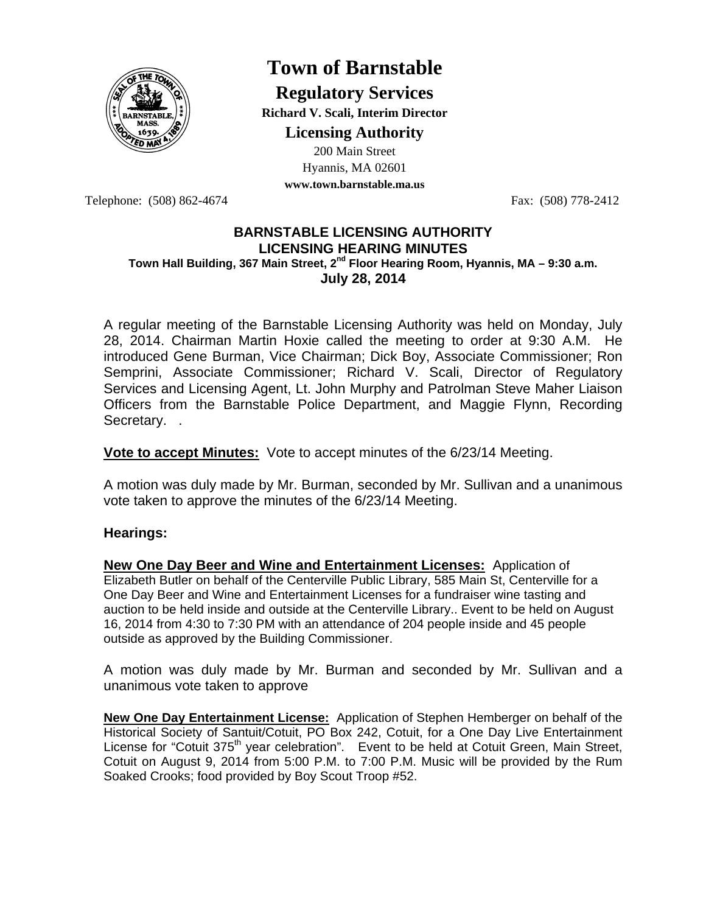

# **Town of Barnstable**

**Regulatory Services Richard V. Scali, Interim Director** 

**Licensing Authority**

200 Main Street Hyannis, MA 02601 **www.town.barnstable.ma.us**

Telephone: (508) 862-4674 Fax: (508) 778-2412

### **BARNSTABLE LICENSING AUTHORITY LICENSING HEARING MINUTES Town Hall Building, 367 Main Street, 2nd Floor Hearing Room, Hyannis, MA – 9:30 a.m. July 28, 2014**

A regular meeting of the Barnstable Licensing Authority was held on Monday, July 28, 2014. Chairman Martin Hoxie called the meeting to order at 9:30 A.M. He introduced Gene Burman, Vice Chairman; Dick Boy, Associate Commissioner; Ron Semprini, Associate Commissioner; Richard V. Scali, Director of Regulatory Services and Licensing Agent, Lt. John Murphy and Patrolman Steve Maher Liaison Officers from the Barnstable Police Department, and Maggie Flynn, Recording Secretary. .

**Vote to accept Minutes:** Vote to accept minutes of the 6/23/14 Meeting.

A motion was duly made by Mr. Burman, seconded by Mr. Sullivan and a unanimous vote taken to approve the minutes of the 6/23/14 Meeting.

## **Hearings:**

**New One Day Beer and Wine and Entertainment Licenses:** Application of Elizabeth Butler on behalf of the Centerville Public Library, 585 Main St, Centerville for a One Day Beer and Wine and Entertainment Licenses for a fundraiser wine tasting and auction to be held inside and outside at the Centerville Library.. Event to be held on August 16, 2014 from 4:30 to 7:30 PM with an attendance of 204 people inside and 45 people outside as approved by the Building Commissioner.

A motion was duly made by Mr. Burman and seconded by Mr. Sullivan and a unanimous vote taken to approve

**New One Day Entertainment License:** Application of Stephen Hemberger on behalf of the Historical Society of Santuit/Cotuit, PO Box 242, Cotuit, for a One Day Live Entertainment License for "Cotuit 375<sup>th</sup> year celebration". Event to be held at Cotuit Green, Main Street, Cotuit on August 9, 2014 from 5:00 P.M. to 7:00 P.M. Music will be provided by the Rum Soaked Crooks; food provided by Boy Scout Troop #52.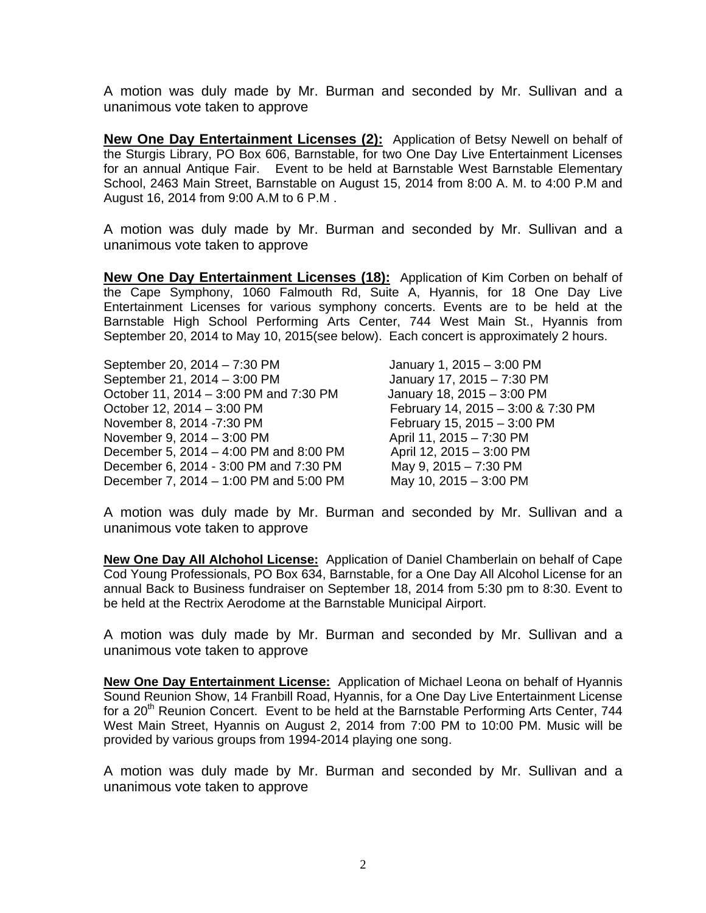A motion was duly made by Mr. Burman and seconded by Mr. Sullivan and a unanimous vote taken to approve

**New One Day Entertainment Licenses (2):** Application of Betsy Newell on behalf of the Sturgis Library, PO Box 606, Barnstable, for two One Day Live Entertainment Licenses for an annual Antique Fair. Event to be held at Barnstable West Barnstable Elementary School, 2463 Main Street, Barnstable on August 15, 2014 from 8:00 A. M. to 4:00 P.M and August 16, 2014 from 9:00 A.M to 6 P.M .

A motion was duly made by Mr. Burman and seconded by Mr. Sullivan and a unanimous vote taken to approve

**New One Day Entertainment Licenses (18):** Application of Kim Corben on behalf of the Cape Symphony, 1060 Falmouth Rd, Suite A, Hyannis, for 18 One Day Live Entertainment Licenses for various symphony concerts. Events are to be held at the Barnstable High School Performing Arts Center, 744 West Main St., Hyannis from September 20, 2014 to May 10, 2015(see below). Each concert is approximately 2 hours.

September 20, 2014 – 7:30 PM January 1, 2015 – 3:00 PM September 21, 2014 – 3:00 PM January 17, 2015 – 7:30 PM October 11, 2014 – 3:00 PM and 7:30 PM January 18, 2015 – 3:00 PM October 12, 2014 – 3:00 PM February 14, 2015 – 3:00 & 7:30 PM November 8, 2014 -7:30 PM February 15, 2015 – 3:00 PM November 9, 2014 – 3:00 PM April 11, 2015 – 7:30 PM December 5, 2014 – 4:00 PM and 8:00 PM April 12, 2015 – 3:00 PM December 6, 2014 - 3:00 PM and 7:30 PM May 9, 2015 – 7:30 PM December 7, 2014 – 1:00 PM and 5:00 PM May 10, 2015 – 3:00 PM

A motion was duly made by Mr. Burman and seconded by Mr. Sullivan and a unanimous vote taken to approve

**New One Day All Alchohol License:** Application of Daniel Chamberlain on behalf of Cape Cod Young Professionals, PO Box 634, Barnstable, for a One Day All Alcohol License for an annual Back to Business fundraiser on September 18, 2014 from 5:30 pm to 8:30. Event to be held at the Rectrix Aerodome at the Barnstable Municipal Airport.

A motion was duly made by Mr. Burman and seconded by Mr. Sullivan and a unanimous vote taken to approve

**New One Day Entertainment License:** Application of Michael Leona on behalf of Hyannis Sound Reunion Show, 14 Franbill Road, Hyannis, for a One Day Live Entertainment License for a 20<sup>th</sup> Reunion Concert. Event to be held at the Barnstable Performing Arts Center, 744 West Main Street, Hyannis on August 2, 2014 from 7:00 PM to 10:00 PM. Music will be provided by various groups from 1994-2014 playing one song.

A motion was duly made by Mr. Burman and seconded by Mr. Sullivan and a unanimous vote taken to approve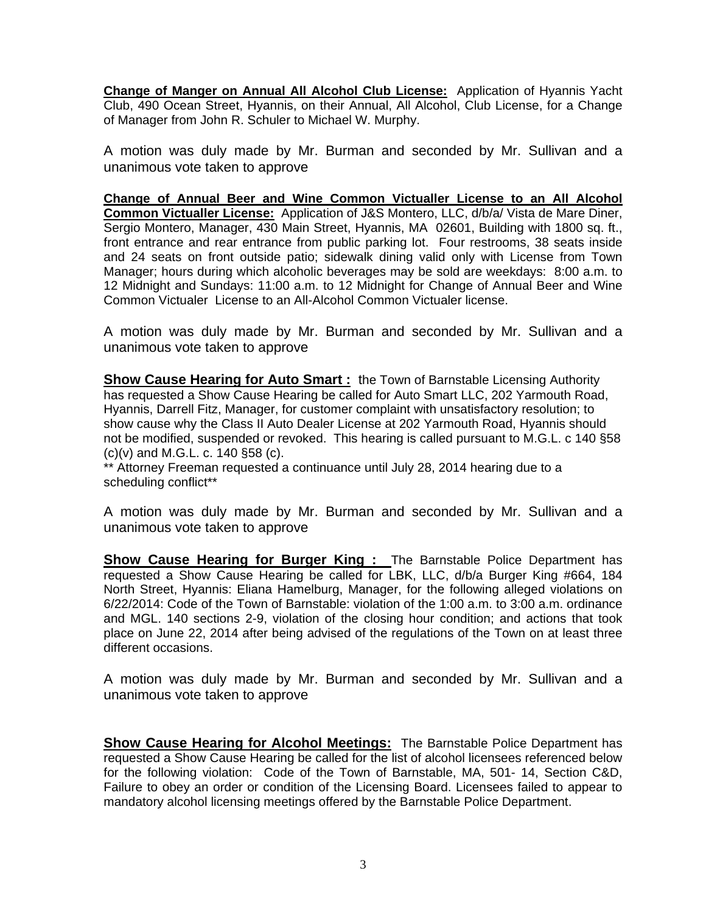**Change of Manger on Annual All Alcohol Club License:** Application of Hyannis Yacht Club, 490 Ocean Street, Hyannis, on their Annual, All Alcohol, Club License, for a Change of Manager from John R. Schuler to Michael W. Murphy.

A motion was duly made by Mr. Burman and seconded by Mr. Sullivan and a unanimous vote taken to approve

**Change of Annual Beer and Wine Common Victualler License to an All Alcohol Common Victualler License:** Application of J&S Montero, LLC, d/b/a/ Vista de Mare Diner, Sergio Montero, Manager, 430 Main Street, Hyannis, MA 02601, Building with 1800 sq. ft., front entrance and rear entrance from public parking lot. Four restrooms, 38 seats inside and 24 seats on front outside patio; sidewalk dining valid only with License from Town Manager; hours during which alcoholic beverages may be sold are weekdays: 8:00 a.m. to 12 Midnight and Sundays: 11:00 a.m. to 12 Midnight for Change of Annual Beer and Wine Common Victualer License to an All-Alcohol Common Victualer license.

A motion was duly made by Mr. Burman and seconded by Mr. Sullivan and a unanimous vote taken to approve

**Show Cause Hearing for Auto Smart:** the Town of Barnstable Licensing Authority has requested a Show Cause Hearing be called for Auto Smart LLC, 202 Yarmouth Road, Hyannis, Darrell Fitz, Manager, for customer complaint with unsatisfactory resolution; to show cause why the Class II Auto Dealer License at 202 Yarmouth Road, Hyannis should not be modified, suspended or revoked. This hearing is called pursuant to M.G.L. c 140 §58 (c)(v) and M.G.L. c. 140 §58 (c).

\*\* Attorney Freeman requested a continuance until July 28, 2014 hearing due to a scheduling conflict\*\*

A motion was duly made by Mr. Burman and seconded by Mr. Sullivan and a unanimous vote taken to approve

**Show Cause Hearing for Burger King :** The Barnstable Police Department has requested a Show Cause Hearing be called for LBK, LLC, d/b/a Burger King #664, 184 North Street, Hyannis: Eliana Hamelburg, Manager, for the following alleged violations on 6/22/2014: Code of the Town of Barnstable: violation of the 1:00 a.m. to 3:00 a.m. ordinance and MGL. 140 sections 2-9, violation of the closing hour condition; and actions that took place on June 22, 2014 after being advised of the regulations of the Town on at least three different occasions.

A motion was duly made by Mr. Burman and seconded by Mr. Sullivan and a unanimous vote taken to approve

**Show Cause Hearing for Alcohol Meetings:** The Barnstable Police Department has requested a Show Cause Hearing be called for the list of alcohol licensees referenced below for the following violation: Code of the Town of Barnstable, MA, 501- 14, Section C&D, Failure to obey an order or condition of the Licensing Board. Licensees failed to appear to mandatory alcohol licensing meetings offered by the Barnstable Police Department.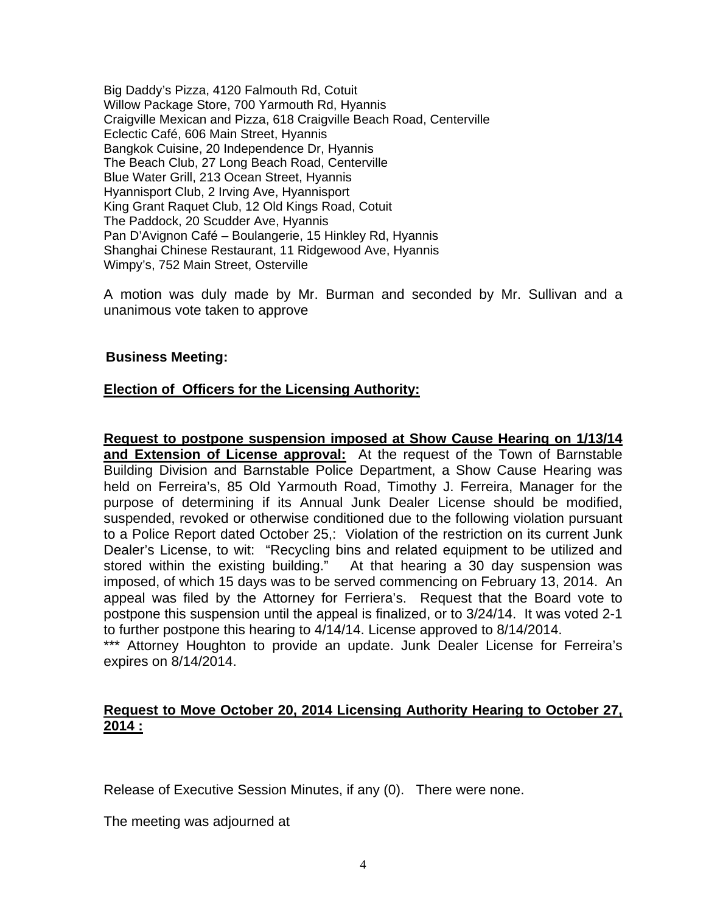Big Daddy's Pizza, 4120 Falmouth Rd, Cotuit Willow Package Store, 700 Yarmouth Rd, Hyannis Craigville Mexican and Pizza, 618 Craigville Beach Road, Centerville Eclectic Café, 606 Main Street, Hyannis Bangkok Cuisine, 20 Independence Dr, Hyannis The Beach Club, 27 Long Beach Road, Centerville Blue Water Grill, 213 Ocean Street, Hyannis Hyannisport Club, 2 Irving Ave, Hyannisport King Grant Raquet Club, 12 Old Kings Road, Cotuit The Paddock, 20 Scudder Ave, Hyannis Pan D'Avignon Café – Boulangerie, 15 Hinkley Rd, Hyannis Shanghai Chinese Restaurant, 11 Ridgewood Ave, Hyannis Wimpy's, 752 Main Street, Osterville

A motion was duly made by Mr. Burman and seconded by Mr. Sullivan and a unanimous vote taken to approve

### **Business Meeting:**

## **Election of Officers for the Licensing Authority:**

**Request to postpone suspension imposed at Show Cause Hearing on 1/13/14 and Extension of License approval:** At the request of the Town of Barnstable Building Division and Barnstable Police Department, a Show Cause Hearing was held on Ferreira's, 85 Old Yarmouth Road, Timothy J. Ferreira, Manager for the purpose of determining if its Annual Junk Dealer License should be modified, suspended, revoked or otherwise conditioned due to the following violation pursuant to a Police Report dated October 25,: Violation of the restriction on its current Junk Dealer's License, to wit: "Recycling bins and related equipment to be utilized and stored within the existing building." At that hearing a 30 day suspension was imposed, of which 15 days was to be served commencing on February 13, 2014. An appeal was filed by the Attorney for Ferriera's. Request that the Board vote to postpone this suspension until the appeal is finalized, or to 3/24/14. It was voted 2-1 to further postpone this hearing to 4/14/14. License approved to 8/14/2014.

\*\*\* Attorney Houghton to provide an update. Junk Dealer License for Ferreira's expires on 8/14/2014.

## **Request to Move October 20, 2014 Licensing Authority Hearing to October 27, 2014 :**

Release of Executive Session Minutes, if any (0). There were none.

The meeting was adjourned at